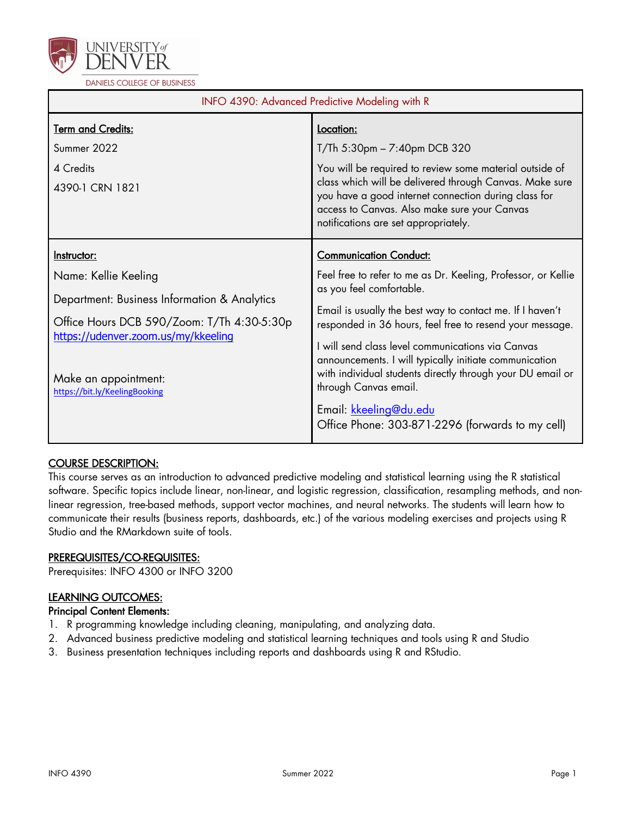

| INFO 4390: Advanced Predictive Modeling with R                                                                                                                                                                                    |                                                                                                                                                                                                                                                                                                                                                                                                                                                                                                                                         |  |  |
|-----------------------------------------------------------------------------------------------------------------------------------------------------------------------------------------------------------------------------------|-----------------------------------------------------------------------------------------------------------------------------------------------------------------------------------------------------------------------------------------------------------------------------------------------------------------------------------------------------------------------------------------------------------------------------------------------------------------------------------------------------------------------------------------|--|--|
| <b>Term and Credits:</b><br>Summer 2022<br>4 Credits<br>4390-1 CRN 1821                                                                                                                                                           | Location:<br>$T/Th$ 5:30pm $-7:40$ pm DCB 320<br>You will be required to review some material outside of<br>class which will be delivered through Canvas. Make sure<br>you have a good internet connection during class for<br>access to Canvas. Also make sure your Canvas<br>notifications are set appropriately.                                                                                                                                                                                                                     |  |  |
| Instructor:<br>Name: Kellie Keeling<br>Department: Business Information & Analytics<br>Office Hours DCB 590/Zoom: T/Th 4:30-5:30p<br>https://udenver.zoom.us/my/kkeeling<br>Make an appointment:<br>https://bit.ly/KeelingBooking | <b>Communication Conduct:</b><br>Feel free to refer to me as Dr. Keeling, Professor, or Kellie<br>as you feel comfortable.<br>Email is usually the best way to contact me. If I haven't<br>responded in 36 hours, feel free to resend your message.<br>I will send class level communications via Canvas<br>announcements. I will typically initiate communication<br>with individual students directly through your DU email or<br>through Canvas email.<br>Email: kkeeling@du.edu<br>Office Phone: 303-871-2296 (forwards to my cell) |  |  |

# COURSE DESCRIPTION:

This course serves as an introduction to advanced predictive modeling and statistical learning using the R statistical software. Specific topics include linear, non-linear, and logistic regression, classification, resampling methods, and nonlinear regression, tree-based methods, support vector machines, and neural networks. The students will learn how to communicate their results (business reports, dashboards, etc.) of the various modeling exercises and projects using R Studio and the RMarkdown suite of tools.

# PREREQUISITES/CO-REQUISITES:

Prerequisites: INFO 4300 or INFO 3200

# LEARNING OUTCOMES:

## Principal Content Elements:

- 1. R programming knowledge including cleaning, manipulating, and analyzing data.
- 2. Advanced business predictive modeling and statistical learning techniques and tools using R and Studio
- 3. Business presentation techniques including reports and dashboards using R and RStudio.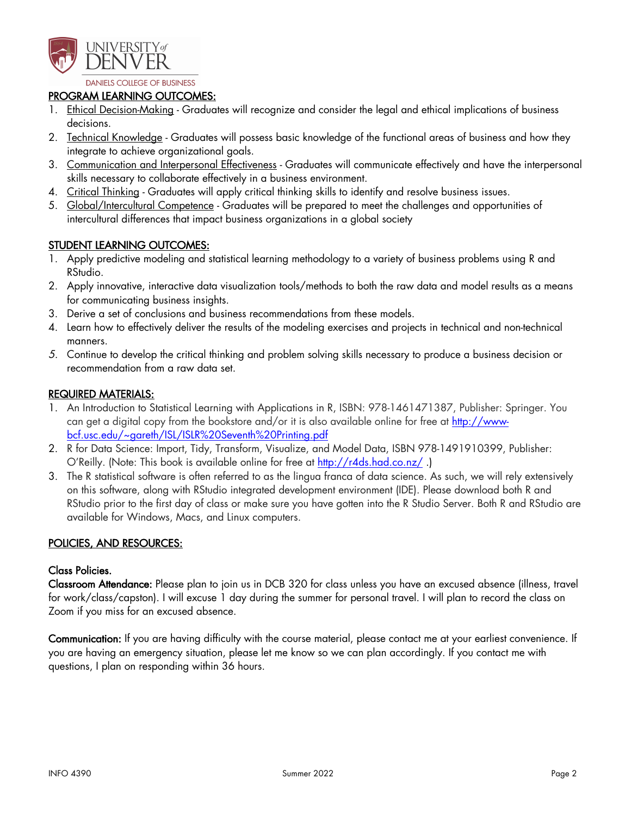

**DANIELS COLLEGE OF BUSINESS** 

### PROGRAM LEARNING OUTCOMES:

- 1. Ethical Decision-Making Graduates will recognize and consider the legal and ethical implications of business decisions.
- 2. Technical Knowledge Graduates will possess basic knowledge of the functional areas of business and how they integrate to achieve organizational goals.
- 3. Communication and Interpersonal Effectiveness Graduates will communicate effectively and have the interpersonal skills necessary to collaborate effectively in a business environment.
- 4. Critical Thinking Graduates will apply critical thinking skills to identify and resolve business issues.
- 5. Global/Intercultural Competence Graduates will be prepared to meet the challenges and opportunities of intercultural differences that impact business organizations in a global society

## STUDENT LEARNING OUTCOMES:

- 1. Apply predictive modeling and statistical learning methodology to a variety of business problems using R and RStudio.
- 2. Apply innovative, interactive data visualization tools/methods to both the raw data and model results as a means for communicating business insights.
- 3. Derive a set of conclusions and business recommendations from these models.
- 4. Learn how to effectively deliver the results of the modeling exercises and projects in technical and non-technical manners.
- *5.* Continue to develop the critical thinking and problem solving skills necessary to produce a business decision or recommendation from a raw data set.

## REQUIRED MATERIALS:

- 1. An Introduction to Statistical Learning with Applications in R, ISBN: 978-1461471387, Publisher: Springer. You can get a digital copy from the bookstore and/or it is also available online for free at http://wwwbcf.usc.edu/~gareth/ISL/ISLR%20Seventh%20Printing.pdf
- 2. R for Data Science: Import, Tidy, Transform, Visualize, and Model Data, ISBN 978-1491910399, Publisher: O'Reilly. (Note: This book is available online for free at http://r4ds.had.co.nz/ .)
- 3. The R statistical software is often referred to as the lingua franca of data science. As such, we will rely extensively on this software, along with RStudio integrated development environment (IDE). Please download both R and RStudio prior to the first day of class or make sure you have gotten into the R Studio Server. Both R and RStudio are available for Windows, Macs, and Linux computers.

### POLICIES, AND RESOURCES:

#### Class Policies.

Classroom Attendance: Please plan to join us in DCB 320 for class unless you have an excused absence (illness, travel for work/class/capston). I will excuse 1 day during the summer for personal travel. I will plan to record the class on Zoom if you miss for an excused absence.

Communication: If you are having difficulty with the course material, please contact me at your earliest convenience. If you are having an emergency situation, please let me know so we can plan accordingly. If you contact me with questions, I plan on responding within 36 hours.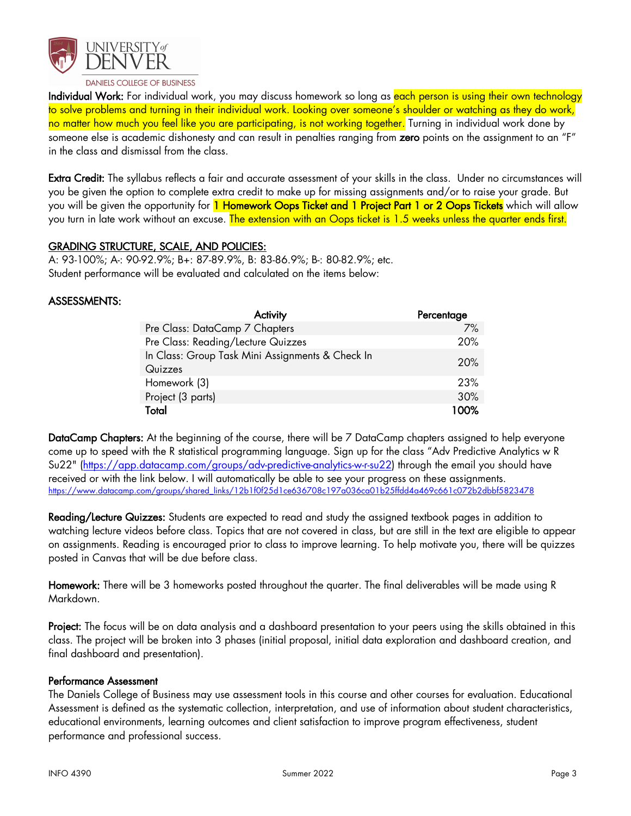

Individual Work: For individual work, you may discuss homework so long as each person is using their own technology to solve problems and turning in their individual work. Looking over someone's shoulder or watching as they do work, no matter how much you feel like you are participating, is not working together. Turning in individual work done by someone else is academic dishonesty and can result in penalties ranging from zero points on the assignment to an "F" in the class and dismissal from the class.

Extra Credit: The syllabus reflects a fair and accurate assessment of your skills in the class. Under no circumstances will you be given the option to complete extra credit to make up for missing assignments and/or to raise your grade. But you will be given the opportunity for 1 Homework Oops Ticket and 1 Project Part 1 or 2 Oops Tickets which will allow you turn in late work without an excuse. The extension with an Oops ticket is 1.5 weeks unless the quarter ends first.

## GRADING STRUCTURE, SCALE, AND POLICIES:

A: 93-100%; A-: 90-92.9%; B+: 87-89.9%, B: 83-86.9%; B-: 80-82.9%; etc. Student performance will be evaluated and calculated on the items below:

## ASSESSMENTS:

| Activity                                                    | Percentage |
|-------------------------------------------------------------|------------|
| Pre Class: DataCamp 7 Chapters                              | 7%         |
| Pre Class: Reading/Lecture Quizzes                          | 20%        |
| In Class: Group Task Mini Assignments & Check In<br>Quizzes | 20%        |
| Homework (3)                                                | 23%        |
| Project (3 parts)                                           | 30%        |
| Total                                                       | 100%       |

DataCamp Chapters: At the beginning of the course, there will be 7 DataCamp chapters assigned to help everyone come up to speed with the R statistical programming language. Sign up for the class "Adv Predictive Analytics w R Su22" (https://app.datacamp.com/groups/adv-predictive-analytics-w-r-su22) through the email you should have received or with the link below. I will automatically be able to see your progress on these assignments. https://www.datacamp.com/groups/shared\_links/12b1f0f25d1ce636708c197a036ca01b25ffdd4a469c661c072b2dbbf5823478

Reading/Lecture Quizzes: Students are expected to read and study the assigned textbook pages in addition to watching lecture videos before class. Topics that are not covered in class, but are still in the text are eligible to appear on assignments. Reading is encouraged prior to class to improve learning. To help motivate you, there will be quizzes posted in Canvas that will be due before class.

Homework: There will be 3 homeworks posted throughout the quarter. The final deliverables will be made using R Markdown.

Project: The focus will be on data analysis and a dashboard presentation to your peers using the skills obtained in this class. The project will be broken into 3 phases (initial proposal, initial data exploration and dashboard creation, and final dashboard and presentation).

### Performance Assessment

The Daniels College of Business may use assessment tools in this course and other courses for evaluation. Educational Assessment is defined as the systematic collection, interpretation, and use of information about student characteristics, educational environments, learning outcomes and client satisfaction to improve program effectiveness, student performance and professional success.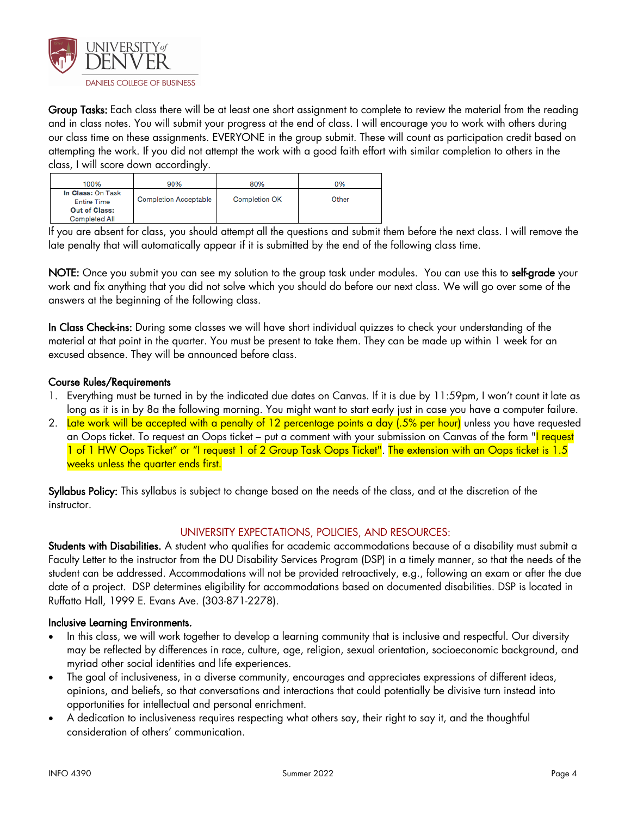

Group Tasks: Each class there will be at least one short assignment to complete to review the material from the reading and in class notes. You will submit your progress at the end of class. I will encourage you to work with others during our class time on these assignments. EVERYONE in the group submit. These will count as participation credit based on attempting the work. If you did not attempt the work with a good faith effort with similar completion to others in the class, I will score down accordingly.

| 100%                                                            | 90%                          | 80%                  | 0%    |
|-----------------------------------------------------------------|------------------------------|----------------------|-------|
| In Class: On Task<br><b>Entire Time</b><br><b>Out of Class:</b> | <b>Completion Acceptable</b> | <b>Completion OK</b> | Other |
| <b>Completed All</b>                                            |                              |                      |       |

If you are absent for class, you should attempt all the questions and submit them before the next class. I will remove the late penalty that will automatically appear if it is submitted by the end of the following class time.

NOTE: Once you submit you can see my solution to the group task under modules. You can use this to self-grade your work and fix anything that you did not solve which you should do before our next class. We will go over some of the answers at the beginning of the following class.

In Class Check-ins: During some classes we will have short individual quizzes to check your understanding of the material at that point in the quarter. You must be present to take them. They can be made up within 1 week for an excused absence. They will be announced before class.

## Course Rules/Requirements

- 1. Everything must be turned in by the indicated due dates on Canvas. If it is due by 11:59pm, I won't count it late as long as it is in by 8a the following morning. You might want to start early just in case you have a computer failure.
- 2. Late work will be accepted with a penalty of 12 percentage points a day (.5% per hour) unless you have requested an Oops ticket. To request an Oops ticket – put a comment with your submission on Canvas of the form "I request 1 of 1 HW Oops Ticket" or "I request 1 of 2 Group Task Oops Ticket". The extension with an Oops ticket is 1.5 weeks unless the quarter ends first.

Syllabus Policy: This syllabus is subject to change based on the needs of the class, and at the discretion of the instructor.

# UNIVERSITY EXPECTATIONS, POLICIES, AND RESOURCES:

Students with Disabilities. A student who qualifies for academic accommodations because of a disability must submit a Faculty Letter to the instructor from the DU Disability Services Program (DSP) in a timely manner, so that the needs of the student can be addressed. Accommodations will not be provided retroactively, e.g., following an exam or after the due date of a project. DSP determines eligibility for accommodations based on documented disabilities. DSP is located in Ruffatto Hall, 1999 E. Evans Ave. (303-871-2278).

### Inclusive Learning Environments.

- In this class, we will work together to develop a learning community that is inclusive and respectful. Our diversity may be reflected by differences in race, culture, age, religion, sexual orientation, socioeconomic background, and myriad other social identities and life experiences.
- The goal of inclusiveness, in a diverse community, encourages and appreciates expressions of different ideas, opinions, and beliefs, so that conversations and interactions that could potentially be divisive turn instead into opportunities for intellectual and personal enrichment.
- A dedication to inclusiveness requires respecting what others say, their right to say it, and the thoughtful consideration of others' communication.